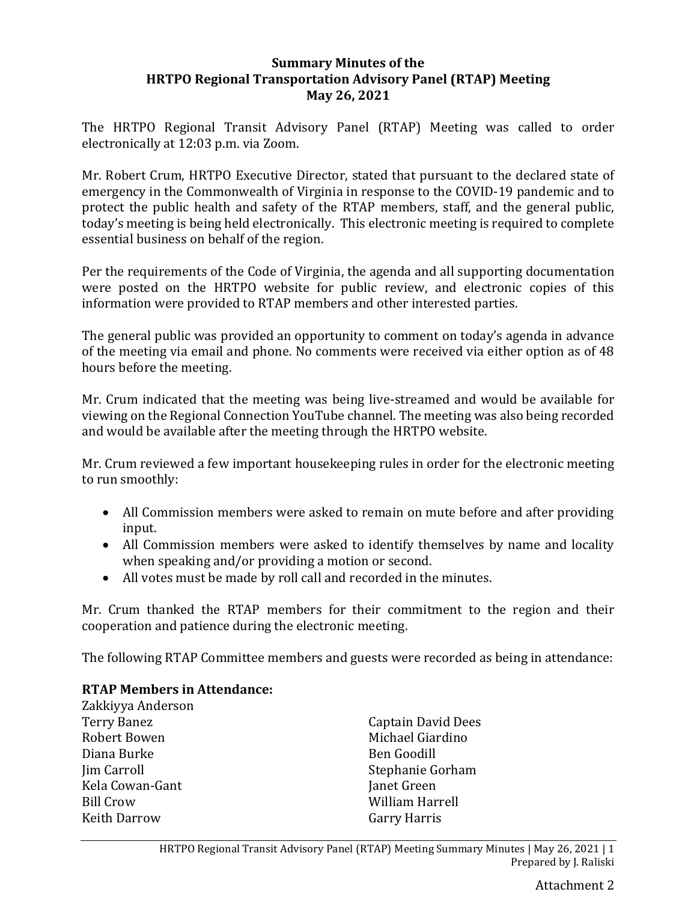#### **Summary Minutes of the HRTPO Regional Transportation Advisory Panel (RTAP) Meeting May 26, 2021**

The HRTPO Regional Transit Advisory Panel (RTAP) Meeting was called to order electronically at 12:03 p.m. via Zoom.

Mr. Robert Crum, HRTPO Executive Director, stated that pursuant to the declared state of emergency in the Commonwealth of Virginia in response to the COVID-19 pandemic and to protect the public health and safety of the RTAP members, staff, and the general public, today's meeting is being held electronically. This electronic meeting is required to complete essential business on behalf of the region.

Per the requirements of the Code of Virginia, the agenda and all supporting documentation were posted on the HRTPO website for public review, and electronic copies of this information were provided to RTAP members and other interested parties.

The general public was provided an opportunity to comment on today's agenda in advance of the meeting via email and phone. No comments were received via either option as of 48 hours before the meeting.

Mr. Crum indicated that the meeting was being live-streamed and would be available for viewing on the Regional Connection YouTube channel. The meeting was also being recorded and would be available after the meeting through the HRTPO website.

Mr. Crum reviewed a few important housekeeping rules in order for the electronic meeting to run smoothly:

- All Commission members were asked to remain on mute before and after providing input.
- All Commission members were asked to identify themselves by name and locality when speaking and/or providing a motion or second.
- All votes must be made by roll call and recorded in the minutes.

Mr. Crum thanked the RTAP members for their commitment to the region and their cooperation and patience during the electronic meeting.

The following RTAP Committee members and guests were recorded as being in attendance:

## **RTAP Members in Attendance:**

Zakkiyya Anderson Terry Banez Robert Bowen Diana Burke Jim Carroll Kela Cowan-Gant Bill Crow Keith Darrow

Captain David Dees Michael Giardino Ben Goodill Stephanie Gorham Janet Green William Harrell Garry Harris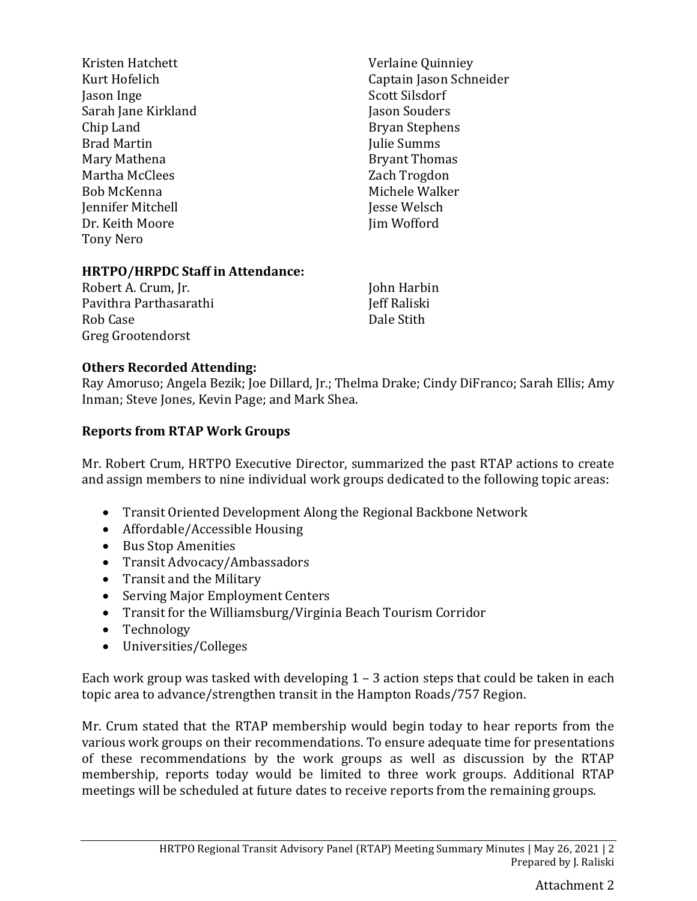| Kristen Hatchett    | Verlaine Quinniey       |
|---------------------|-------------------------|
| Kurt Hofelich       | Captain Jason Schneider |
| Jason Inge          | Scott Silsdorf          |
| Sarah Jane Kirkland | Jason Souders           |
| Chip Land           | <b>Bryan Stephens</b>   |
| <b>Brad Martin</b>  | Julie Summs             |
| Mary Mathena        | <b>Bryant Thomas</b>    |
| Martha McClees      | Zach Trogdon            |
| Bob McKenna         | Michele Walker          |
| Jennifer Mitchell   | Jesse Welsch            |
| Dr. Keith Moore     | Jim Wofford             |
| Tony Nero           |                         |
|                     |                         |
|                     |                         |

### **HRTPO/HRPDC Staff in Attendance:**

Robert A. Crum, Jr. Pavithra Parthasarathi Rob Case Greg Grootendorst

John Harbin Jeff Raliski Dale Stith

### **Others Recorded Attending:**

Ray Amoruso; Angela Bezik; Joe Dillard, Jr.; Thelma Drake; Cindy DiFranco; Sarah Ellis; Amy Inman; Steve Jones, Kevin Page; and Mark Shea.

### **Reports from RTAP Work Groups**

Mr. Robert Crum, HRTPO Executive Director, summarized the past RTAP actions to create and assign members to nine individual work groups dedicated to the following topic areas:

- Transit Oriented Development Along the Regional Backbone Network
- Affordable/Accessible Housing
- Bus Stop Amenities
- Transit Advocacy/Ambassadors
- Transit and the Military
- Serving Major Employment Centers
- Transit for the Williamsburg/Virginia Beach Tourism Corridor
- Technology
- Universities/Colleges

Each work group was tasked with developing 1 – 3 action steps that could be taken in each topic area to advance/strengthen transit in the Hampton Roads/757 Region.

Mr. Crum stated that the RTAP membership would begin today to hear reports from the various work groups on their recommendations. To ensure adequate time for presentations of these recommendations by the work groups as well as discussion by the RTAP membership, reports today would be limited to three work groups. Additional RTAP meetings will be scheduled at future dates to receive reports from the remaining groups.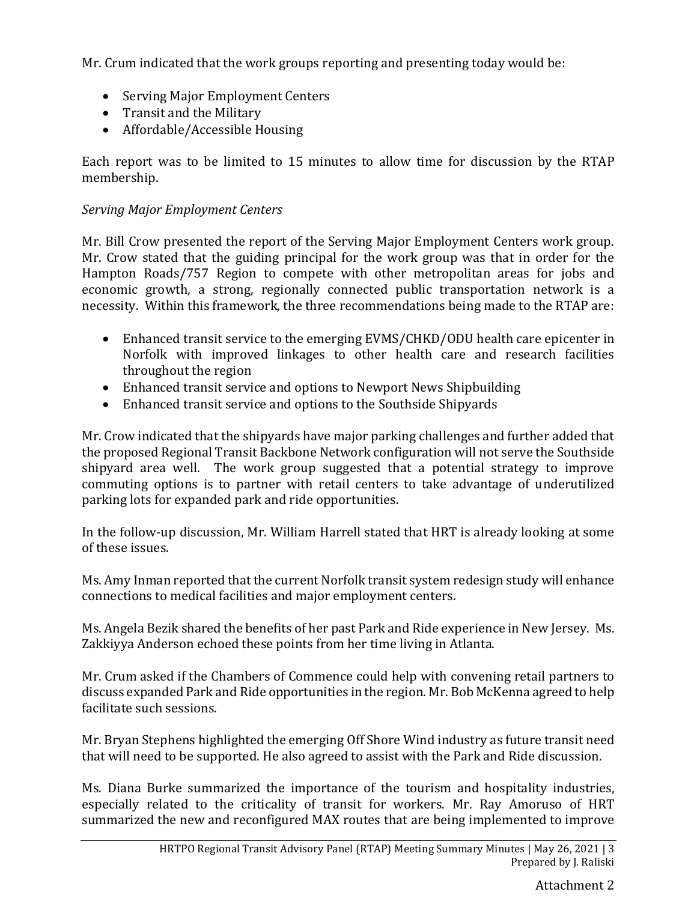Mr. Crum indicated that the work groups reporting and presenting today would be:

- Serving Major Employment Centers
- Transit and the Military
- Affordable/Accessible Housing

Each report was to be limited to 15 minutes to allow time for discussion by the RTAP membership.

## *Serving Major Employment Centers*

Mr. Bill Crow presented the report of the Serving Major Employment Centers work group. Mr. Crow stated that the guiding principal for the work group was that in order for the Hampton Roads/757 Region to compete with other metropolitan areas for jobs and economic growth, a strong, regionally connected public transportation network is a necessity. Within this framework, the three recommendations being made to the RTAP are:

- Enhanced transit service to the emerging EVMS/CHKD/ODU health care epicenter in Norfolk with improved linkages to other health care and research facilities throughout the region
- Enhanced transit service and options to Newport News Shipbuilding
- Enhanced transit service and options to the Southside Shipyards

Mr. Crow indicated that the shipyards have major parking challenges and further added that the proposed Regional Transit Backbone Network configuration will not serve the Southside shipyard area well. The work group suggested that a potential strategy to improve commuting options is to partner with retail centers to take advantage of underutilized parking lots for expanded park and ride opportunities.

In the follow-up discussion, Mr. William Harrell stated that HRT is already looking at some of these issues.

Ms. Amy Inman reported that the current Norfolk transit system redesign study will enhance connections to medical facilities and major employment centers.

Ms. Angela Bezik shared the benefits of her past Park and Ride experience in New Jersey. Ms. Zakkiyya Anderson echoed these points from her time living in Atlanta.

Mr. Crum asked if the Chambers of Commence could help with convening retail partners to discuss expanded Park and Ride opportunities in the region. Mr. Bob McKenna agreed to help facilitate such sessions.

Mr. Bryan Stephens highlighted the emerging Off Shore Wind industry as future transit need that will need to be supported. He also agreed to assist with the Park and Ride discussion.

Ms. Diana Burke summarized the importance of the tourism and hospitality industries, especially related to the criticality of transit for workers. Mr. Ray Amoruso of HRT summarized the new and reconfigured MAX routes that are being implemented to improve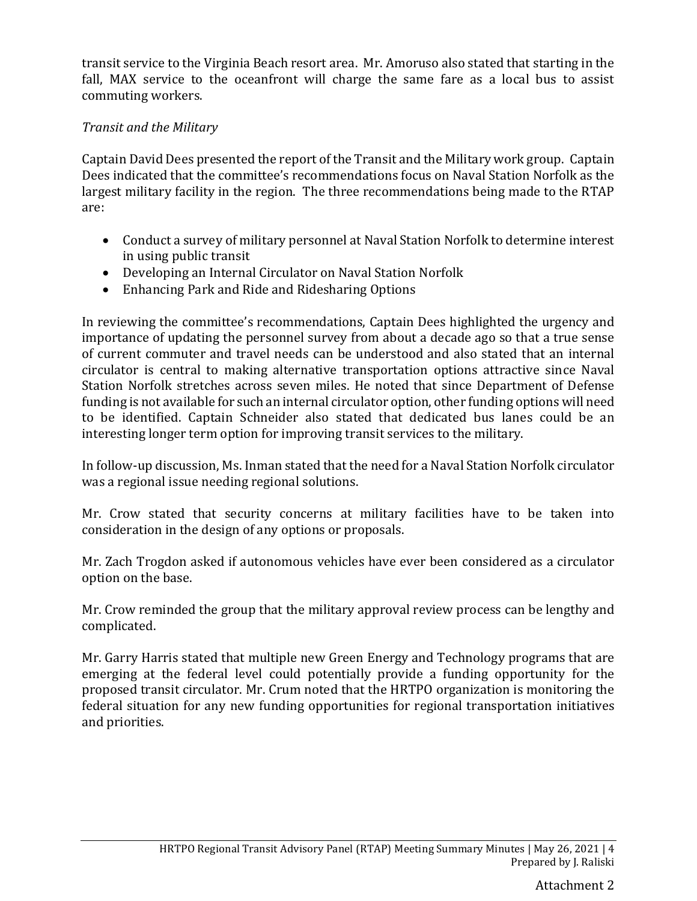transit service to the Virginia Beach resort area. Mr. Amoruso also stated that starting in the fall, MAX service to the oceanfront will charge the same fare as a local bus to assist commuting workers.

## *Transit and the Military*

Captain David Dees presented the report of the Transit and the Military work group. Captain Dees indicated that the committee's recommendations focus on Naval Station Norfolk as the largest military facility in the region. The three recommendations being made to the RTAP are:

- Conduct a survey of military personnel at Naval Station Norfolk to determine interest in using public transit
- Developing an Internal Circulator on Naval Station Norfolk
- Enhancing Park and Ride and Ridesharing Options

In reviewing the committee's recommendations, Captain Dees highlighted the urgency and importance of updating the personnel survey from about a decade ago so that a true sense of current commuter and travel needs can be understood and also stated that an internal circulator is central to making alternative transportation options attractive since Naval Station Norfolk stretches across seven miles. He noted that since Department of Defense funding is not available for such an internal circulator option, other funding options will need to be identified. Captain Schneider also stated that dedicated bus lanes could be an interesting longer term option for improving transit services to the military.

In follow-up discussion, Ms. Inman stated that the need for a Naval Station Norfolk circulator was a regional issue needing regional solutions.

Mr. Crow stated that security concerns at military facilities have to be taken into consideration in the design of any options or proposals.

Mr. Zach Trogdon asked if autonomous vehicles have ever been considered as a circulator option on the base.

Mr. Crow reminded the group that the military approval review process can be lengthy and complicated.

Mr. Garry Harris stated that multiple new Green Energy and Technology programs that are emerging at the federal level could potentially provide a funding opportunity for the proposed transit circulator. Mr. Crum noted that the HRTPO organization is monitoring the federal situation for any new funding opportunities for regional transportation initiatives and priorities.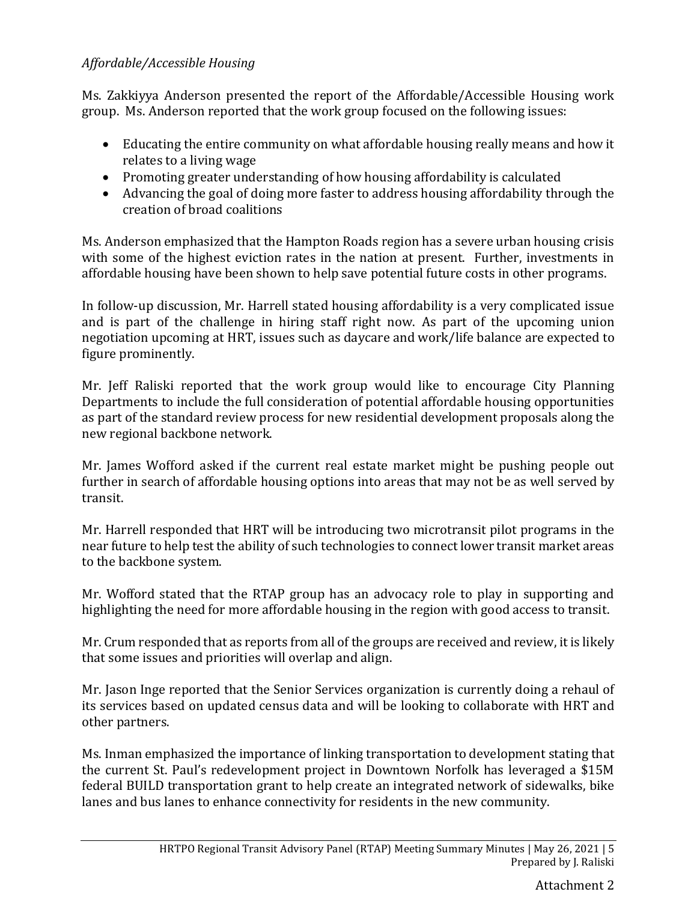# *Affordable/Accessible Housing*

Ms. Zakkiyya Anderson presented the report of the Affordable/Accessible Housing work group. Ms. Anderson reported that the work group focused on the following issues:

- Educating the entire community on what affordable housing really means and how it relates to a living wage
- Promoting greater understanding of how housing affordability is calculated
- Advancing the goal of doing more faster to address housing affordability through the creation of broad coalitions

Ms. Anderson emphasized that the Hampton Roads region has a severe urban housing crisis with some of the highest eviction rates in the nation at present. Further, investments in affordable housing have been shown to help save potential future costs in other programs.

In follow-up discussion, Mr. Harrell stated housing affordability is a very complicated issue and is part of the challenge in hiring staff right now. As part of the upcoming union negotiation upcoming at HRT, issues such as daycare and work/life balance are expected to figure prominently.

Mr. Jeff Raliski reported that the work group would like to encourage City Planning Departments to include the full consideration of potential affordable housing opportunities as part of the standard review process for new residential development proposals along the new regional backbone network.

Mr. James Wofford asked if the current real estate market might be pushing people out further in search of affordable housing options into areas that may not be as well served by transit.

Mr. Harrell responded that HRT will be introducing two microtransit pilot programs in the near future to help test the ability of such technologies to connect lower transit market areas to the backbone system.

Mr. Wofford stated that the RTAP group has an advocacy role to play in supporting and highlighting the need for more affordable housing in the region with good access to transit.

Mr. Crum responded that as reports from all of the groups are received and review, it is likely that some issues and priorities will overlap and align.

Mr. Jason Inge reported that the Senior Services organization is currently doing a rehaul of its services based on updated census data and will be looking to collaborate with HRT and other partners.

Ms. Inman emphasized the importance of linking transportation to development stating that the current St. Paul's redevelopment project in Downtown Norfolk has leveraged a \$15M federal BUILD transportation grant to help create an integrated network of sidewalks, bike lanes and bus lanes to enhance connectivity for residents in the new community.